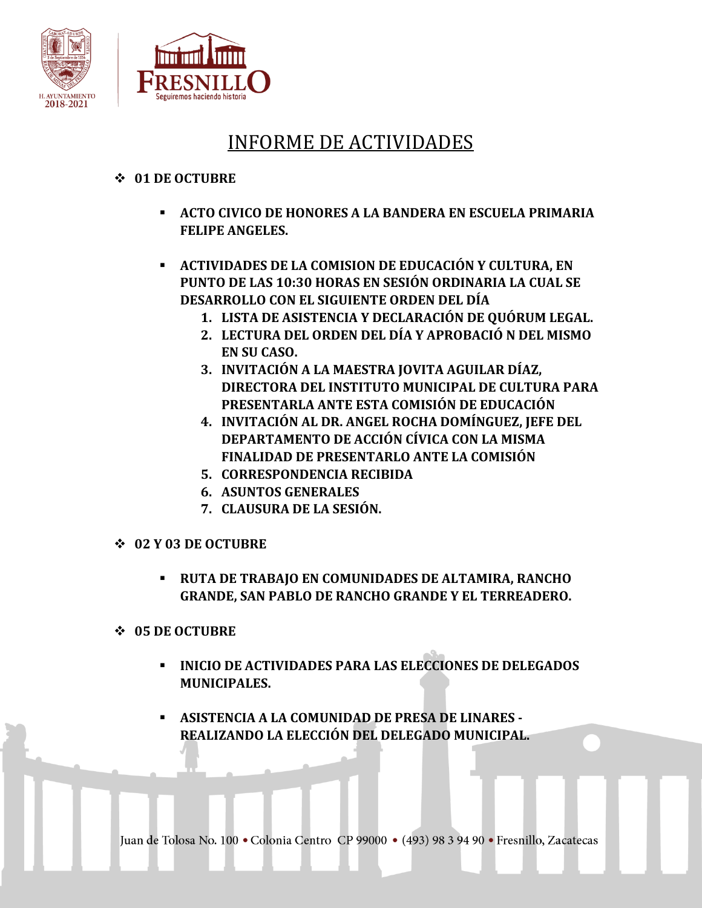



# INFORME DE ACTIVIDADES

## **01 DE OCTUBRE**

- **ACTO CIVICO DE HONORES A LA BANDERA EN ESCUELA PRIMARIA FELIPE ANGELES.**
- **ACTIVIDADES DE LA COMISION DE EDUCACIÓN Y CULTURA, EN PUNTO DE LAS 10:30 HORAS EN SESIÓN ORDINARIA LA CUAL SE DESARROLLO CON EL SIGUIENTE ORDEN DEL DÍA**
	- **1. LISTA DE ASISTENCIA Y DECLARACIÓN DE QUÓRUM LEGAL.**
	- **2. LECTURA DEL ORDEN DEL DÍA Y APROBACIÓ N DEL MISMO EN SU CASO.**
	- **3. INVITACIÓN A LA MAESTRA JOVITA AGUILAR DÍAZ, DIRECTORA DEL INSTITUTO MUNICIPAL DE CULTURA PARA PRESENTARLA ANTE ESTA COMISIÓN DE EDUCACIÓN**
	- **4. INVITACIÓN AL DR. ANGEL ROCHA DOMÍNGUEZ, JEFE DEL DEPARTAMENTO DE ACCIÓN CÍVICA CON LA MISMA FINALIDAD DE PRESENTARLO ANTE LA COMISIÓN**
	- **5. CORRESPONDENCIA RECIBIDA**
	- **6. ASUNTOS GENERALES**
	- **7. CLAUSURA DE LA SESIÓN.**
- **02 Y 03 DE OCTUBRE**
	- **RUTA DE TRABAJO EN COMUNIDADES DE ALTAMIRA, RANCHO GRANDE, SAN PABLO DE RANCHO GRANDE Y EL TERREADERO.**

### **05 DE OCTUBRE**

- **INICIO DE ACTIVIDADES PARA LAS ELECCIONES DE DELEGADOS MUNICIPALES.**
- **ASISTENCIA A LA COMUNIDAD DE PRESA DE LINARES - REALIZANDO LA ELECCIÓN DEL DELEGADO MUNICIPAL.**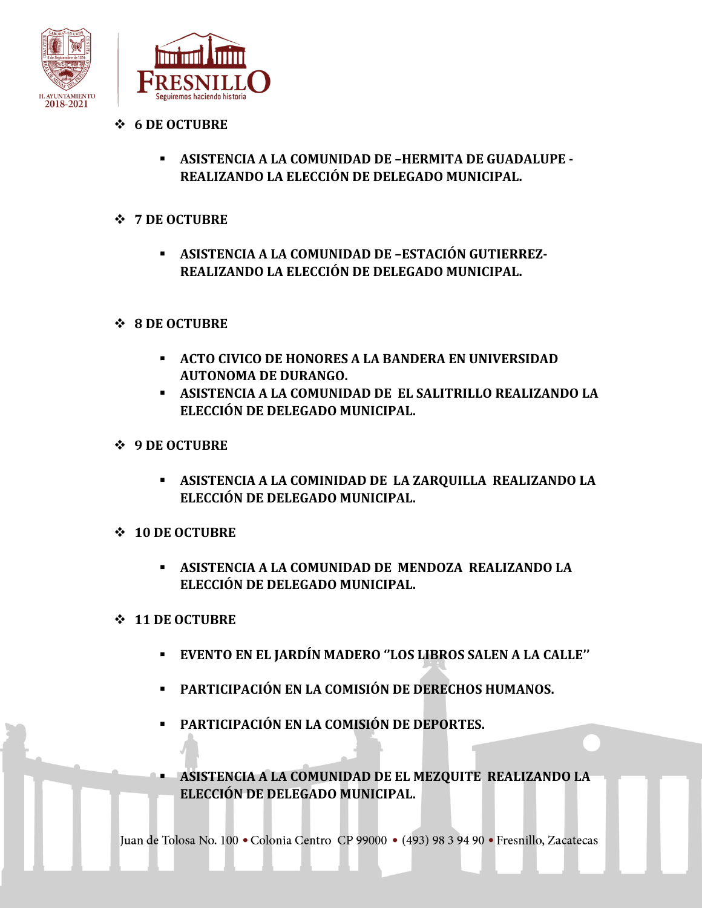



- **6 DE OCTUBRE**
	- **ASISTENCIA A LA COMUNIDAD DE –HERMITA DE GUADALUPE - REALIZANDO LA ELECCIÓN DE DELEGADO MUNICIPAL.**
- **7 DE OCTUBRE**
	- **ASISTENCIA A LA COMUNIDAD DE –ESTACIÓN GUTIERREZ-REALIZANDO LA ELECCIÓN DE DELEGADO MUNICIPAL.**
- **8 DE OCTUBRE**
	- **ACTO CIVICO DE HONORES A LA BANDERA EN UNIVERSIDAD AUTONOMA DE DURANGO.**
	- **ASISTENCIA A LA COMUNIDAD DE EL SALITRILLO REALIZANDO LA ELECCIÓN DE DELEGADO MUNICIPAL.**
- **9 DE OCTUBRE**
	- **ASISTENCIA A LA COMINIDAD DE LA ZARQUILLA REALIZANDO LA ELECCIÓN DE DELEGADO MUNICIPAL.**
- **10 DE OCTUBRE**
	- **ASISTENCIA A LA COMUNIDAD DE MENDOZA REALIZANDO LA ELECCIÓN DE DELEGADO MUNICIPAL.**
- **11 DE OCTUBRE**
	- **EVENTO EN EL JARDÍN MADERO ''LOS LIBROS SALEN A LA CALLE''**
	- **PARTICIPACIÓN EN LA COMISIÓN DE DERECHOS HUMANOS.**
	- **PARTICIPACIÓN EN LA COMISIÓN DE DEPORTES.**
	- **ASISTENCIA A LA COMUNIDAD DE EL MEZQUITE REALIZANDO LA ELECCIÓN DE DELEGADO MUNICIPAL.**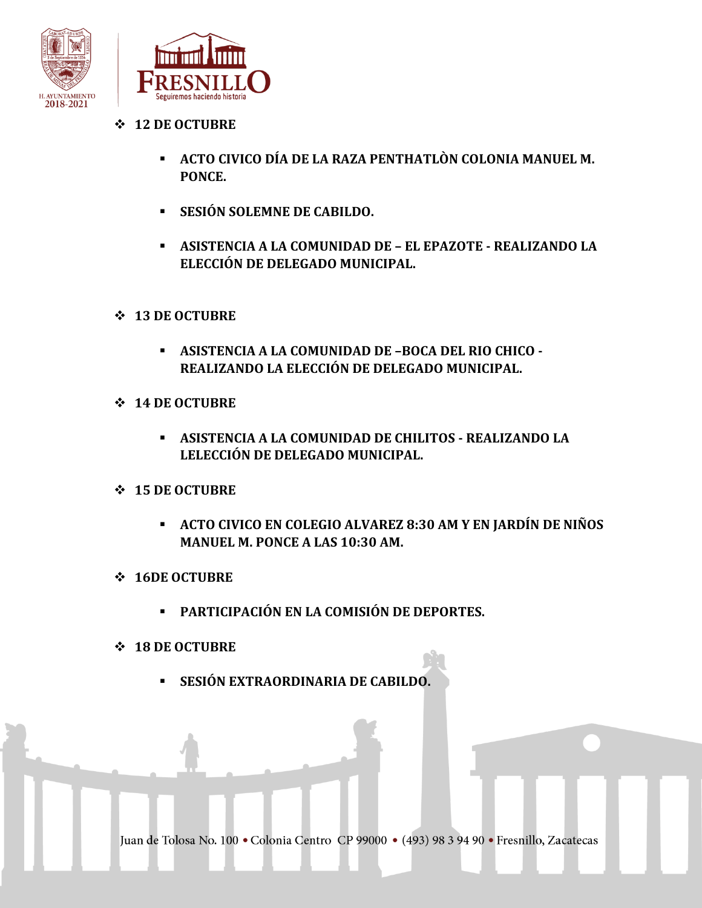



- **12 DE OCTUBRE**
	- **ACTO CIVICO DÍA DE LA RAZA PENTHATLÒN COLONIA MANUEL M. PONCE.**
	- **SESIÓN SOLEMNE DE CABILDO.**
	- **ASISTENCIA A LA COMUNIDAD DE – EL EPAZOTE - REALIZANDO LA ELECCIÓN DE DELEGADO MUNICIPAL.**
- **13 DE OCTUBRE**
	- **ASISTENCIA A LA COMUNIDAD DE –BOCA DEL RIO CHICO - REALIZANDO LA ELECCIÓN DE DELEGADO MUNICIPAL.**
- **14 DE OCTUBRE**
	- **ASISTENCIA A LA COMUNIDAD DE CHILITOS - REALIZANDO LA LELECCIÓN DE DELEGADO MUNICIPAL.**
- **15 DE OCTUBRE**
	- **ACTO CIVICO EN COLEGIO ALVAREZ 8:30 AM Y EN JARDÍN DE NIÑOS MANUEL M. PONCE A LAS 10:30 AM.**
- **16DE OCTUBRE**
	- **PARTICIPACIÓN EN LA COMISIÓN DE DEPORTES.**
- **18 DE OCTUBRE**
	- **SESIÓN EXTRAORDINARIA DE CABILDO.**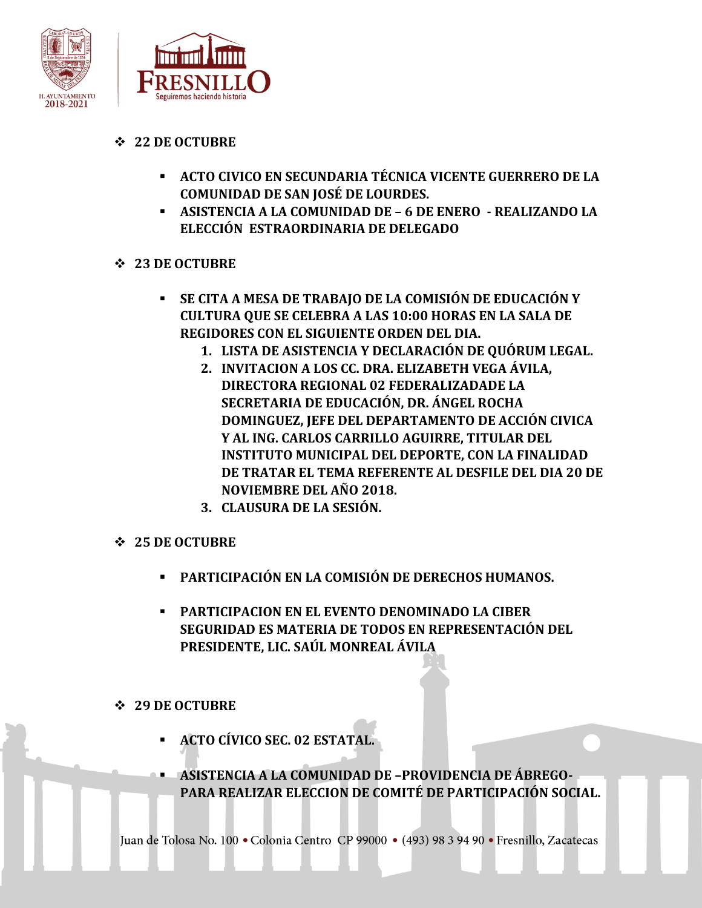



- **22 DE OCTUBRE**
	- **ACTO CIVICO EN SECUNDARIA TÉCNICA VICENTE GUERRERO DE LA COMUNIDAD DE SAN JOSÉ DE LOURDES.**
	- **ASISTENCIA A LA COMUNIDAD DE – 6 DE ENERO - REALIZANDO LA ELECCIÓN ESTRAORDINARIA DE DELEGADO**
- **23 DE OCTUBRE** 
	- **SE CITA A MESA DE TRABAJO DE LA COMISIÓN DE EDUCACIÓN Y CULTURA QUE SE CELEBRA A LAS 10:00 HORAS EN LA SALA DE REGIDORES CON EL SIGUIENTE ORDEN DEL DIA.**
		- **1. LISTA DE ASISTENCIA Y DECLARACIÓN DE QUÓRUM LEGAL.**
		- **2. INVITACION A LOS CC. DRA. ELIZABETH VEGA ÁVILA, DIRECTORA REGIONAL 02 FEDERALIZADADE LA SECRETARIA DE EDUCACIÓN, DR. ÁNGEL ROCHA DOMINGUEZ, JEFE DEL DEPARTAMENTO DE ACCIÓN CIVICA Y AL ING. CARLOS CARRILLO AGUIRRE, TITULAR DEL INSTITUTO MUNICIPAL DEL DEPORTE, CON LA FINALIDAD DE TRATAR EL TEMA REFERENTE AL DESFILE DEL DIA 20 DE NOVIEMBRE DEL AÑO 2018.**
		- **3. CLAUSURA DE LA SESIÓN.**
- **25 DE OCTUBRE**
	- **PARTICIPACIÓN EN LA COMISIÓN DE DERECHOS HUMANOS.**
	- **PARTICIPACION EN EL EVENTO DENOMINADO LA CIBER SEGURIDAD ES MATERIA DE TODOS EN REPRESENTACIÓN DEL PRESIDENTE, LIC. SAÚL MONREAL ÁVILA**
- **29 DE OCTUBRE**
	- **ACTO CÍVICO SEC. 02 ESTATAL.**
	- **ASISTENCIA A LA COMUNIDAD DE –PROVIDENCIA DE ÁBREGO-PARA REALIZAR ELECCION DE COMITÉ DE PARTICIPACIÓN SOCIAL.**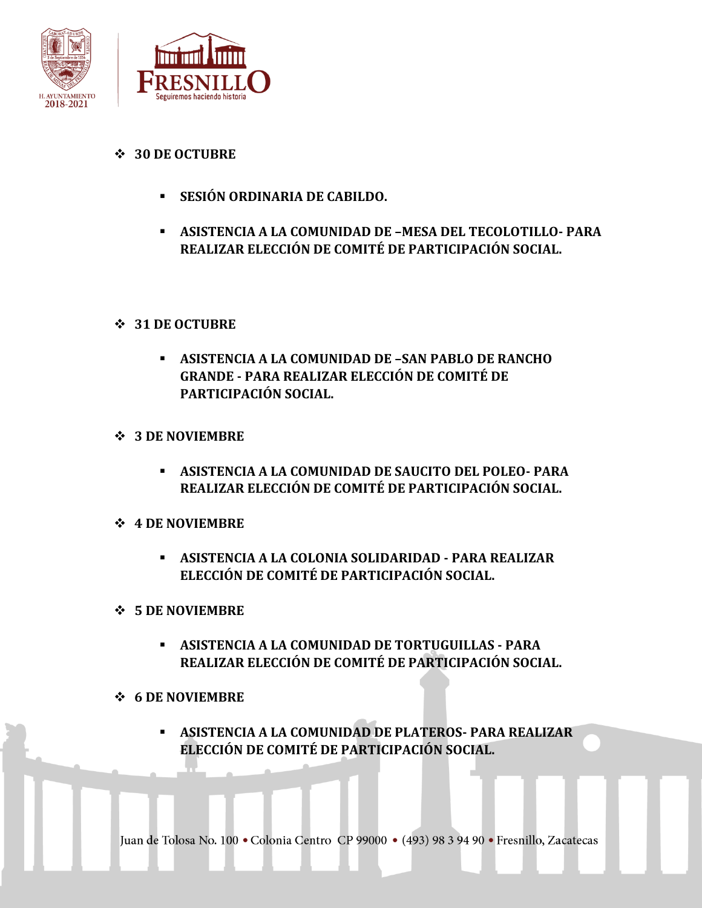

- **30 DE OCTUBRE**
	- **SESIÓN ORDINARIA DE CABILDO.**
	- **ASISTENCIA A LA COMUNIDAD DE –MESA DEL TECOLOTILLO- PARA REALIZAR ELECCIÓN DE COMITÉ DE PARTICIPACIÓN SOCIAL.**

#### **31 DE OCTUBRE**

- **ASISTENCIA A LA COMUNIDAD DE –SAN PABLO DE RANCHO GRANDE - PARA REALIZAR ELECCIÓN DE COMITÉ DE PARTICIPACIÓN SOCIAL.**
- **3 DE NOVIEMBRE** 
	- **ASISTENCIA A LA COMUNIDAD DE SAUCITO DEL POLEO- PARA REALIZAR ELECCIÓN DE COMITÉ DE PARTICIPACIÓN SOCIAL.**
- **4 DE NOVIEMBRE** 
	- **ASISTENCIA A LA COLONIA SOLIDARIDAD - PARA REALIZAR ELECCIÓN DE COMITÉ DE PARTICIPACIÓN SOCIAL.**
- **5 DE NOVIEMBRE** 
	- **ASISTENCIA A LA COMUNIDAD DE TORTUGUILLAS - PARA REALIZAR ELECCIÓN DE COMITÉ DE PARTICIPACIÓN SOCIAL.**
- **6 DE NOVIEMBRE** 
	- **ASISTENCIA A LA COMUNIDAD DE PLATEROS- PARA REALIZAR ELECCIÓN DE COMITÉ DE PARTICIPACIÓN SOCIAL.**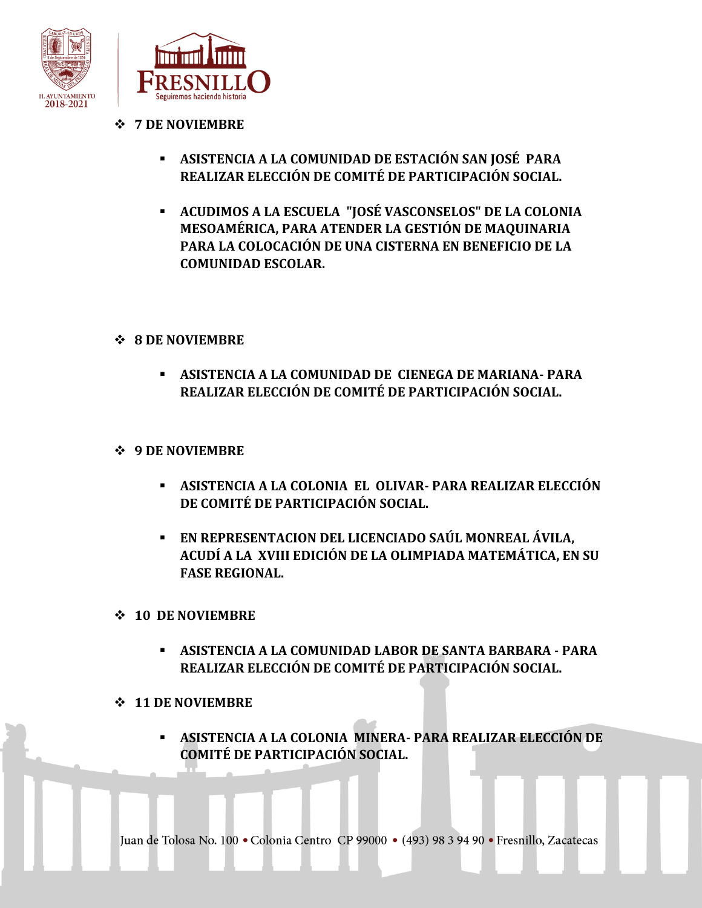



- **7 DE NOVIEMBRE** 
	- **ASISTENCIA A LA COMUNIDAD DE ESTACIÓN SAN JOSÉ PARA REALIZAR ELECCIÓN DE COMITÉ DE PARTICIPACIÓN SOCIAL.**
	- **ACUDIMOS A LA ESCUELA "JOSÉ VASCONSELOS" DE LA COLONIA MESOAMÉRICA, PARA ATENDER LA GESTIÓN DE MAQUINARIA PARA LA COLOCACIÓN DE UNA CISTERNA EN BENEFICIO DE LA COMUNIDAD ESCOLAR.**
- **8 DE NOVIEMBRE** 
	- **ASISTENCIA A LA COMUNIDAD DE CIENEGA DE MARIANA- PARA REALIZAR ELECCIÓN DE COMITÉ DE PARTICIPACIÓN SOCIAL.**
- **9 DE NOVIEMBRE** 
	- **ASISTENCIA A LA COLONIA EL OLIVAR- PARA REALIZAR ELECCIÓN DE COMITÉ DE PARTICIPACIÓN SOCIAL.**
	- **EN REPRESENTACION DEL LICENCIADO SAÚL MONREAL ÁVILA, ACUDÍ A LA XVIII EDICIÓN DE LA OLIMPIADA MATEMÁTICA, EN SU FASE REGIONAL.**
- **10 DE NOVIEMBRE** 
	- **ASISTENCIA A LA COMUNIDAD LABOR DE SANTA BARBARA - PARA REALIZAR ELECCIÓN DE COMITÉ DE PARTICIPACIÓN SOCIAL.**
- **11 DE NOVIEMBRE** 
	- **ASISTENCIA A LA COLONIA MINERA- PARA REALIZAR ELECCIÓN DE COMITÉ DE PARTICIPACIÓN SOCIAL.**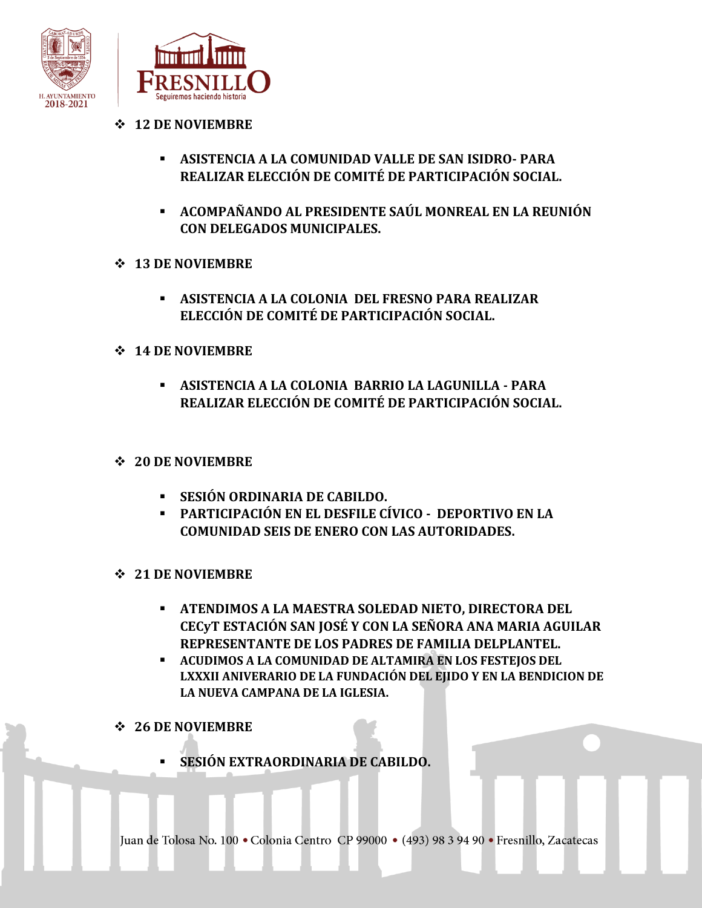



- **12 DE NOVIEMBRE** 
	- **ASISTENCIA A LA COMUNIDAD VALLE DE SAN ISIDRO- PARA REALIZAR ELECCIÓN DE COMITÉ DE PARTICIPACIÓN SOCIAL.**
	- **ACOMPAÑANDO AL PRESIDENTE SAÚL MONREAL EN LA REUNIÓN CON DELEGADOS MUNICIPALES.**
- **13 DE NOVIEMBRE** 
	- **ASISTENCIA A LA COLONIA DEL FRESNO PARA REALIZAR ELECCIÓN DE COMITÉ DE PARTICIPACIÓN SOCIAL.**
- **14 DE NOVIEMBRE** 
	- **ASISTENCIA A LA COLONIA BARRIO LA LAGUNILLA - PARA REALIZAR ELECCIÓN DE COMITÉ DE PARTICIPACIÓN SOCIAL.**

#### **20 DE NOVIEMBRE**

- **SESIÓN ORDINARIA DE CABILDO.**
- **PARTICIPACIÓN EN EL DESFILE CÍVICO DEPORTIVO EN LA COMUNIDAD SEIS DE ENERO CON LAS AUTORIDADES.**
- **21 DE NOVIEMBRE**
	- **ATENDIMOS A LA MAESTRA SOLEDAD NIETO, DIRECTORA DEL CECyT ESTACIÓN SAN JOSÉ Y CON LA SEÑORA ANA MARIA AGUILAR REPRESENTANTE DE LOS PADRES DE FAMILIA DELPLANTEL.**
	- **ACUDIMOS A LA COMUNIDAD DE ALTAMIRA EN LOS FESTEJOS DEL LXXXII ANIVERARIO DE LA FUNDACIÓN DEL EJIDO Y EN LA BENDICION DE LA NUEVA CAMPANA DE LA IGLESIA.**
- **26 DE NOVIEMBRE**
	- **SESIÓN EXTRAORDINARIA DE CABILDO.**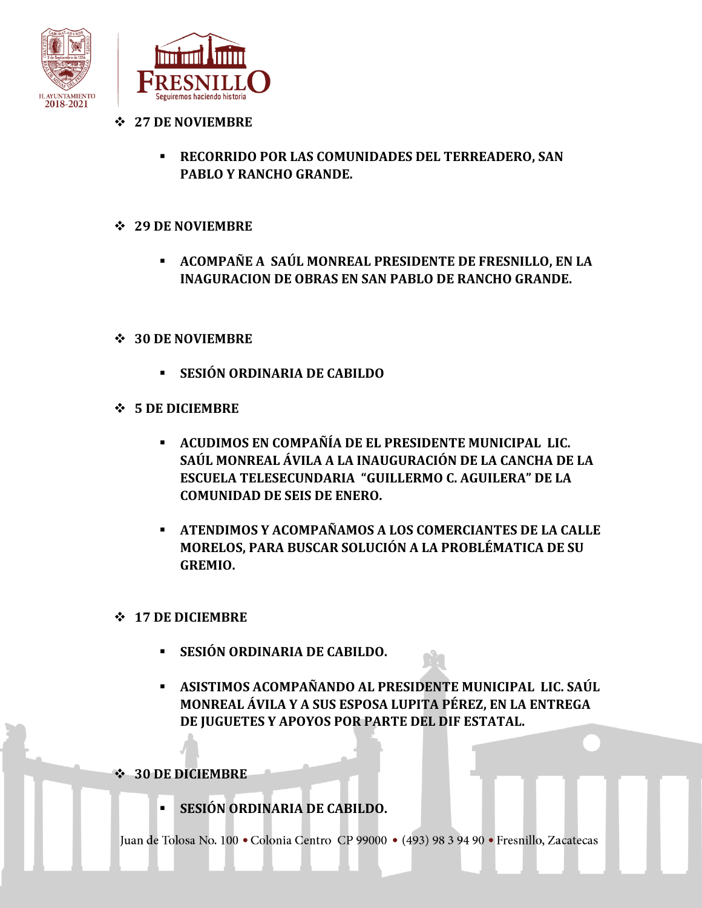



- **27 DE NOVIEMBRE**
	- **RECORRIDO POR LAS COMUNIDADES DEL TERREADERO, SAN PABLO Y RANCHO GRANDE.**
- **29 DE NOVIEMBRE**
	- **ACOMPAÑE A SAÚL MONREAL PRESIDENTE DE FRESNILLO, EN LA INAGURACION DE OBRAS EN SAN PABLO DE RANCHO GRANDE.**
- **30 DE NOVIEMBRE** 
	- **SESIÓN ORDINARIA DE CABILDO**
- **5 DE DICIEMBRE** 
	- **ACUDIMOS EN COMPAÑÍA DE EL PRESIDENTE MUNICIPAL LIC. SAÚL MONREAL ÁVILA A LA INAUGURACIÓN DE LA CANCHA DE LA ESCUELA TELESECUNDARIA "GUILLERMO C. AGUILERA" DE LA COMUNIDAD DE SEIS DE ENERO.**
	- **ATENDIMOS Y ACOMPAÑAMOS A LOS COMERCIANTES DE LA CALLE MORELOS, PARA BUSCAR SOLUCIÓN A LA PROBLÉMATICA DE SU GREMIO.**

#### **17 DE DICIEMBRE**

- **SESIÓN ORDINARIA DE CABILDO.**
- **ASISTIMOS ACOMPAÑANDO AL PRESIDENTE MUNICIPAL LIC. SAÚL MONREAL ÁVILA Y A SUS ESPOSA LUPITA PÉREZ, EN LA ENTREGA DE JUGUETES Y APOYOS POR PARTE DEL DIF ESTATAL.**

**30 DE DICIEMBRE**

**SESIÓN ORDINARIA DE CABILDO.**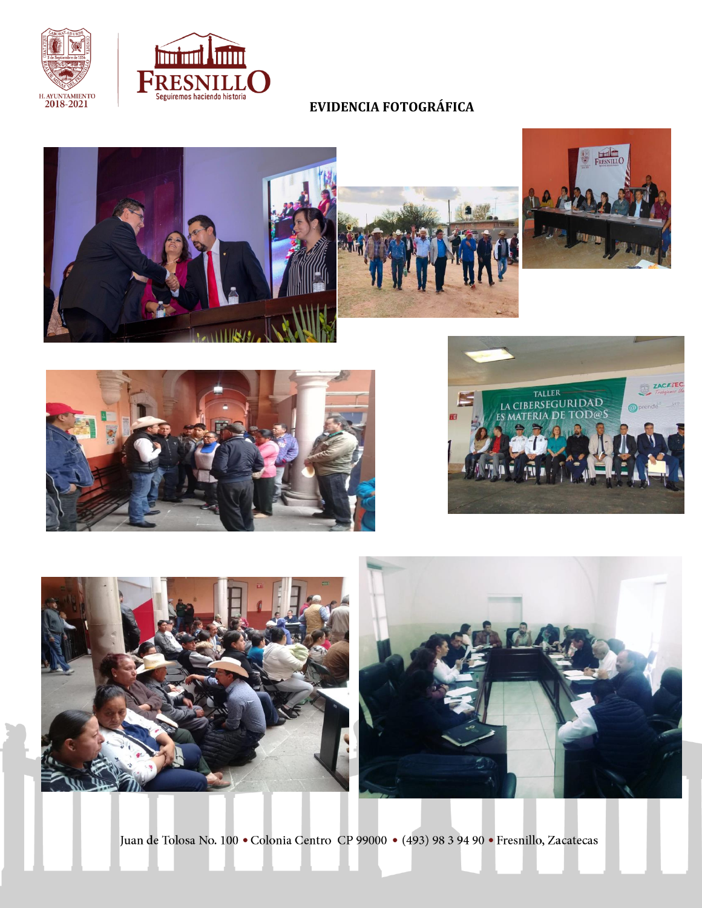



# **EVIDENCIA FOTOGRÁFICA**